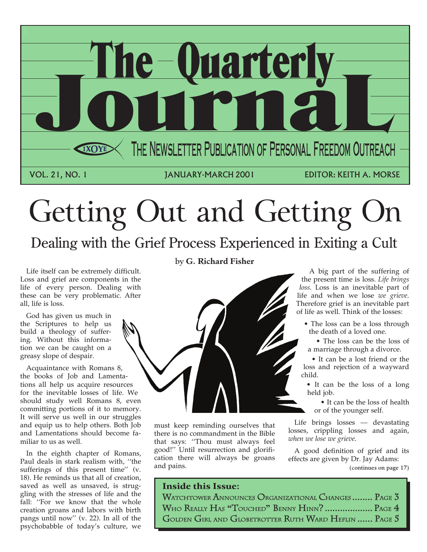

# Getting Out and Getting

## Dealing with the Grief Process Experienced in Exiting a Cult

Life itself can be extremely difficult. Loss and grief are components in the life of every person. Dealing with these can be very problematic. After all, life is loss.

God has given us much in the Scriptures to help us build a theology of suffering. Without this information we can be caught on a greasy slope of despair.

Acquaintance with Romans 8, the books of Job and Lamentations all help us acquire resources for the inevitable losses of life. We should study well Romans 8, even committing portions of it to memory. It will serve us well in our struggles and equip us to help others. Both Job and Lamentations should become familiar to us as well.

In the eighth chapter of Romans, Paul deals in stark realism with, ''the sufferings of this present time'' (v. 18). He reminds us that all of creation, saved as well as unsaved, is struggling with the stresses of life and the fall: ''For we know that the whole creation groans and labors with birth pangs until now'' (v. 22). In all of the psychobabble of today's culture, we

by **G. Richard Fisher**



must keep reminding ourselves that there is no commandment in the Bible that says: ''Thou must always feel good!'' Until resurrection and glorification there will always be groans and pains.

### Inside this Issue:

A big part of the suffering of the present time is loss. *Life brings loss*. Loss is an inevitable part of life and when we lose *we grieve*. Therefore grief is an inevitable part of life as well. Think of the losses:

- The loss can be a loss through the death of a loved one.
- The loss can be the loss of a marriage through a divorce.

• It can be a lost friend or the loss and rejection of a wayward child.

• It can be the loss of a long held job.

• It can be the loss of health or of the younger self.

Life brings losses — devastating losses, crippling losses and again, *when we lose we grieve*.

A good definition of grief and its effects are given by Dr. Jay Adams: (continues on page 17)

| WATCHTOWER ANNOUNCES ORGANIZATIONAL CHANGES  PAGE 3   |  |
|-------------------------------------------------------|--|
| WHO REALLY HAS "TOUCHED" BENNY HINN?  PAGE 4          |  |
| GOLDEN GIRL AND GLOBETROTTER RUTH WARD HEFLIN  PAGE 5 |  |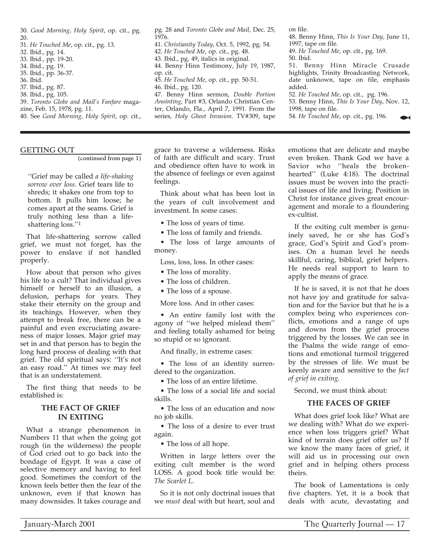30. *Good Morning, Holy Spirit*, op. cit., pg. 20.

- 31. *He Touched Me*, op. cit., pg. 13.
- 32. Ibid., pg. 14.
- 33. Ibid., pp. 19-20.
- 34. Ibid., pg. 19. 35. Ibid., pp. 36-37.
- 36. Ibid.
- 37. Ibid., pg. 87.
- 38. Ibid., pg. 105.
- 39. *Toronto Globe and Mail's Fanfare* magazine, Feb. 15, 1978, pg. 11.
- 40. See *Good Morning, Holy Spirit*, op. cit.,

#### GETTING OUT

(continued from page 1)

''Grief may be called *a life-shaking sorrow over loss*. Grief tears life to shreds; it shakes one from top to bottom. It pulls him loose; he comes apart at the seams. Grief is truly nothing less than a lifeshattering loss.''1

That life-shattering sorrow called grief, we must not forget, has the power to enslave if not handled properly.

How about that person who gives his life to a cult? That individual gives himself or herself to an illusion, a delusion, perhaps for years. They stake their eternity on the group and its teachings. However, when they attempt to break free, there can be a painful and even excruciating awareness of major losses. Major grief may set in and that person has to begin the long hard process of dealing with that grief. The old spiritual says: ''It's not an easy road.'' At times we may feel that is an understatement.

The first thing that needs to be established is:

#### **THE FACT OF GRIEF IN EXITING**

What a strange phenomenon in Numbers 11 that when the going got rough (in the wilderness) the people of God cried out to go back into the bondage of Egypt. It was a case of selective memory and having to feel good. Sometimes the comfort of the known feels better then the fear of the unknown, even if that known has many downsides. It takes courage and

pg. 28 and *Toronto Globe and Mail*, Dec. 25, 1976.

41. *Christianity Today*, Oct. 5, 1992, pg. 54.

42. *He Touched Me*, op. cit., pg. 48.

- 43. Ibid., pg. 49, italics in original. 44. Benny Hinn Testimony, July 19, 1987,
- op. cit.
- 45. *He Touched Me*, op. cit., pp. 50-51.
- 46. Ibid., pg. 120.

47. Benny Hinn sermon, *Double Portion Anointing*, Part #3, Orlando Christian Center, Orlando, Fla., April 7, 1991. From the series, *Holy Ghost Invasion*. TV#309, tape

grace to traverse a wilderness. Risks of faith are difficult and scary. Trust and obedience often have to work in the absence of feelings or even against feelings.

Think about what has been lost in the years of cult involvement and investment. In some cases:

• The loss of years of time.

• The loss of family and friends.

• The loss of large amounts of money.

Loss, loss, loss. In other cases:

- The loss of morality.
- The loss of children.
- The loss of a spouse.

More loss. And in other cases:

• An entire family lost with the agony of ''we helped mislead them'' and feeling totally ashamed for being so stupid or so ignorant.

And finally, in extreme cases:

• The loss of an identity surrendered to the organization.

• The loss of an entire lifetime.

• The loss of a social life and social skills.

• The loss of an education and now no job skills.

• The loss of a desire to ever trust again.

• The loss of all hope.

Written in large letters over the exiting cult member is the word LOSS. A good book title would be: *The Scarlet L*.

So it is not only doctrinal issues that we *must* deal with but heart, soul and

on file.

48. Benny Hinn, *This Is Your Day*, June 11, 1997, tape on file.

49. *He Touched Me*, op. cit., pg. 169. 50. Ibid.

51. Benny Hinn Miracle Crusade highlights, Trinity Broadcasting Network, date unknown, tape on file, emphasis added.

52. *He Touched Me,* op. cit., pg. 196.

53. Benny Hinn, *This Is Your Day*, Nov. 12, 1998, tape on file.

54. *He Touched Me*, op. cit., pg. 196.

emotions that are delicate and maybe even broken. Thank God we have a Savior who ''heals the brokenhearted'' (Luke 4:18). The doctrinal issues must be woven into the practical issues of life and living. Position in Christ for instance gives great encouragement and morale to a floundering ex-cultist.

If the exiting cult member is genuinely saved, he or she has God's grace, God's Spirit and God's promises. On a human level he needs skillful, caring, biblical, grief helpers. He needs real support to learn to apply the means of grace.

If he is saved, it is not that he does not have joy and gratitude for salvation and for the Savior but that he is a complex being who experiences conflicts, emotions and a range of ups and downs from the grief process triggered by the losses. We can see in the Psalms the wide range of emotions and emotional turmoil triggered by the stresses of life. We must be keenly aware and sensitive to the *fact of grief in exiting*.

Second, we must think about:

#### **THE FACES OF GRIEF**

What does grief look like? What are we dealing with? What do we experience when loss triggers grief? What kind of terrain does grief offer us? If we know the many faces of grief, it will aid us in processing our own grief and in helping others process theirs.

The book of Lamentations is only five chapters. Yet, it is a book that deals with acute, devastating and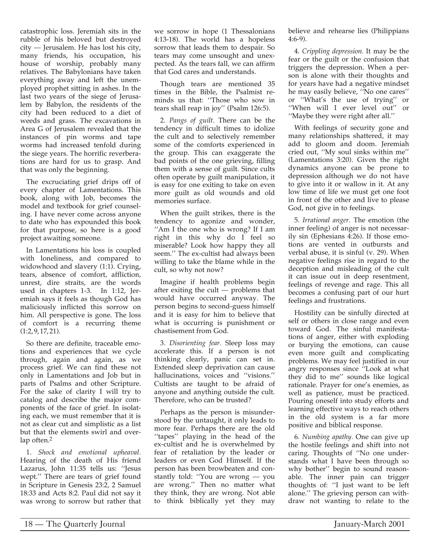catastrophic loss. Jeremiah sits in the rubble of his beloved but destroyed city — Jerusalem. He has lost his city, many friends, his occupation, his house of worship, probably many relatives. The Babylonians have taken everything away and left the unemployed prophet sitting in ashes. In the last two years of the siege of Jerusalem by Babylon, the residents of the city had been reduced to a diet of weeds and grass. The excavations in Area G of Jerusalem revealed that the instances of pin worms and tape worms had increased tenfold during the siege years. The horrific reverberations are hard for us to grasp. And that was only the beginning.

The excruciating grief drips off of every chapter of Lamentations. This book, along with Job, becomes the model and textbook for grief counseling. I have never come across anyone to date who has expounded this book for that purpose, so here is a good project awaiting someone.

In Lamentations his loss is coupled with loneliness, and compared to widowhood and slavery (1:1). Crying, tears, absence of comfort, affliction, unrest, dire straits, are the words used in chapters 1-3. In 1:12, Jeremiah says it feels as though God has maliciously inflicted this sorrow on him. All perspective is gone. The loss of comfort is a recurring theme  $(1:2.9.17.21).$ 

So there are definite, traceable emotions and experiences that we cycle through, again and again, as we process grief. We can find these not only in Lamentations and Job but in parts of Psalms and other Scripture. For the sake of clarity I will try to catalog and describe the major components of the face of grief. In isolating each, we must remember that it is not as clear cut and simplistic as a list but that the elements swirl and overlap often.2

1. *Shock and emotional upheaval.* Hearing of the death of His friend Lazarus, John 11:35 tells us: ''Jesus wept.'' There are tears of grief found in Scripture in Genesis 23:2, 2 Samuel 18:33 and Acts 8:2. Paul did not say it was wrong to sorrow but rather that we sorrow in hope (1 Thessalonians 4:13-18). The world has a hopeless sorrow that leads them to despair. So tears may come unsought and unexpected. As the tears fall, we can affirm that God cares and understands.

Though tears are mentioned 35 times in the Bible, the Psalmist reminds us that: ''Those who sow in tears shall reap in joy'' (Psalm 126:5).

2. *Pangs of guilt.* There can be the tendency in difficult times to idolize the cult and to selectively remember some of the comforts experienced in the group. This can exaggerate the bad points of the one grieving, filling them with a sense of guilt. Since cults often operate by guilt manipulation, it is easy for one exiting to take on even more guilt as old wounds and old memories surface.

When the guilt strikes, there is the tendency to agonize and wonder, ''Am I the one who is wrong? If I am right in this why do I feel so miserable? Look how happy they all seem.'' The ex-cultist had always been willing to take the blame while in the cult, so why not now?

Imagine if health problems begin after exiting the cult — problems that would have occurred anyway. The person begins to second-guess himself and it is easy for him to believe that what is occurring is punishment or chastisement from God.

3. *Disorienting fear.* Sleep loss may accelerate this. If a person is not thinking clearly, panic can set in. Extended sleep deprivation can cause hallucinations, voices and ''visions.'' Cultists are taught to be afraid of anyone and anything outside the cult. Therefore, who can be trusted?

Perhaps as the person is misunderstood by the untaught, it only leads to more fear. Perhaps there are the old ''tapes'' playing in the head of the ex-cultist and he is overwhelmed by fear of retaliation by the leader or leaders or even God Himself. If the person has been browbeaten and constantly told: ''You are wrong — you are wrong.'' Then no matter what they think, they are wrong. Not able to think biblically yet they may believe and rehearse lies (Philippians 4:6-9).

4. *Crippling depression.* It may be the fear or the guilt or the confusion that triggers the depression. When a person is alone with their thoughts and for years have had a negative mindset he may easily believe, ''No one cares'' or ''What's the use of trying'' or ''When will I ever level out'' or ''Maybe they were right after all.''

With feelings of security gone and many relationships shattered, it may add to gloom and doom. Jeremiah cried out, ''My soul sinks within me'' (Lamentations 3:20). Given the right dynamics anyone can be prone to depression although we do not have to give into it or wallow in it. At any low time of life we must get one foot in front of the other and live to please God, not give in to feelings.

5. *Irrational anger.* The emotion (the inner feeling) of anger is not necessarily sin (Ephesians 4:26). If those emotions are vented in outbursts and verbal abuse, it is sinful (v. 29). When negative feelings rise in regard to the deception and misleading of the cult it can issue out in deep resentment, feelings of revenge and rage. This all becomes a confusing part of our hurt feelings and frustrations.

Hostility can be sinfully directed at self or others in close range and even toward God. The sinful manifestations of anger, either with exploding or burying the emotions, can cause even more guilt and complicating problems. We may feel justified in our angry responses since ''Look at what they did to me'' sounds like logical rationale. Prayer for one's enemies, as well as patience, must be practiced. Pouring oneself into study efforts and learning effective ways to reach others in the old system is a far more positive and biblical response.

6. *Numbing apathy.* One can give up the hostile feelings and shift into not caring. Thoughts of ''No one understands what I have been through so why bother'' begin to sound reasonable. The inner pain can trigger thoughts of: ''I just want to be left alone.'' The grieving person can withdraw not wanting to relate to the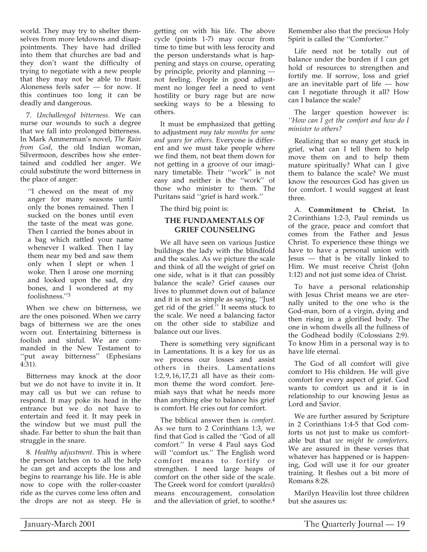world. They may try to shelter themselves from more letdowns and disappointments. They have had drilled into them that churches are bad and they don't want the difficulty of trying to negotiate with a new people that they may not be able to trust. Aloneness feels safer — for now. If this continues too long it can be deadly and dangerous.

7. *Unchallenged bitterness.* We can nurse our wounds to such a degree that we fall into prolonged bitterness. In Mark Ammerman's novel, *The Rain from God*, the old Indian woman, Silvermoon, describes how she entertained and coddled her anger. We could substitute the word bitterness in the place of anger:

''I chewed on the meat of my anger for many seasons until only the bones remained. Then I sucked on the bones until even the taste of the meat was gone. Then I carried the bones about in a bag which rattled your name whenever I walked. Then I lay them near my bed and saw them only when I slept or when I woke. Then I arose one morning and looked upon the sad, dry bones, and I wondered at my foolishness.''3

When we chew on bitterness, we are the ones poisoned. When we carry bags of bitterness we are the ones worn out. Entertaining bitterness is foolish and sinful. We are commanded in the New Testament to "put away bitterness" (Ephesians 4:31).

Bitterness may knock at the door but we do not have to invite it in. It may call us but we can refuse to respond. It may poke its head in the entrance but we do not have to entertain and feed it. It may peek in the window but we must pull the shade. Far better to shun the bait than struggle in the snare.

8. *Healthy adjustment.* This is where the person latches on to all the help he can get and accepts the loss and begins to rearrange his life. He is able now to cope with the roller-coaster ride as the curves come less often and the drops are not as steep. He is getting on with his life. The above cycle (points 1-7) may occur from time to time but with less ferocity and the person understands what is happening and stays on course, operating by principle, priority and planning not feeling. People in good adjustment no longer feel a need to vent hostility or bury rage but are now seeking ways to be a blessing to others.

It must be emphasized that getting to adjustment *may take months for some and years for others*. Everyone is different and we must take people where we find them, not beat them down for not getting in a groove of our imaginary timetable. Their ''work'' is not easy and neither is the ''work'' of those who minister to them. The Puritans said ''grief is hard work.''

The third big point is:

#### **THE FUNDAMENTALS OF GRIEF COUNSELING**

We all have seen on various Justice buildings the lady with the blindfold and the scales. As we picture the scale and think of all the weight of grief on one side, what is it that can possibly balance the scale? Grief causes our lives to plummet down out of balance and it is not as simple as saying, ''Just get rid of the grief.'' It seems stuck to the scale. We need a balancing factor on the other side to stabilize and balance out our lives.

There is something very significant in Lamentations. It is a key for us as we process our losses and assist others in theirs. Lamentations 1:2, 9, 16, 17, 21 all have as their common theme the word comfort. Jeremiah says that what he needs more than anything else to balance his grief is comfort. He cries out for comfort.

The biblical answer then is *comfort*. As we turn to 2 Corinthians 1:3, we find that God is called the ''God of all comfort.'' In verse 4 Paul says God will ''comfort us.'' The English word comfort means to fortify or strengthen. I need large heaps of comfort on the other side of the scale. The Greek word for comfort (*paraklesi*) means encouragement, consolation and the alleviation of grief, to soothe.4

Remember also that the precious Holy Spirit is called the ''Comforter.''

Life need not be totally out of balance under the burden if I can get hold of resources to strengthen and fortify me. If sorrow, loss and grief are an inevitable part of life — how can I negotiate through it all? How can I balance the scale?

The larger question however is: *''How can I get the comfort and how do I minister to others?*

Realizing that so many get stuck in grief, what can I tell them to help move them on and to help them mature spiritually? What can I give them to balance the scale? We must know the resources God has given us for comfort. I would suggest at least three.

A. **Commitment to Christ.** In 2 Corinthians 1:2-3, Paul reminds us of the grace, peace and comfort that comes from the Father and Jesus Christ. To experience these things we have to have a personal union with  $I$ esus — that is be vitally linked to Him. We must receive Christ (John 1:12) and not just some idea of Christ.

To have a personal relationship with Jesus Christ means we are eternally united to the one who is the God-man, born of a virgin, dying and then rising in a glorified body. The one in whom dwells all the fullness of the Godhead bodily (Colossians 2:9). To know Him in a personal way is to have life eternal.

The God of all comfort will give comfort to His children. He will give comfort for every aspect of grief. God wants to comfort us and it is in relationship to our knowing Jesus as Lord and Savior.

We are further assured by Scripture in 2 Corinthians 1:4-5 that God comforts us not just to make us comfortable but that *we might be comforters*. We are assured in these verses that whatever has happened or is happening, God will use it for our greater training. It fleshes out a bit more of Romans 8:28.

Marilyn Heavilin lost three children but she assures us: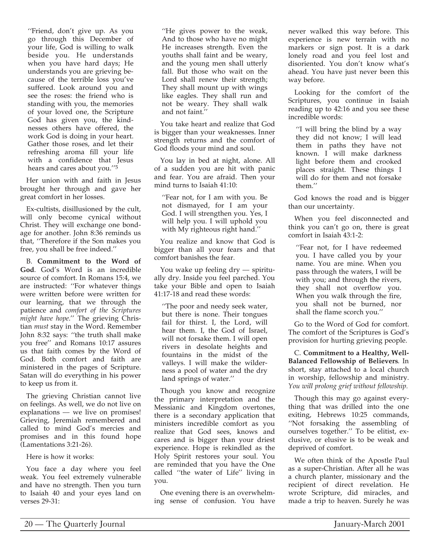''Friend, don't give up. As you go through this December of your life, God is willing to walk beside you. He understands when you have hard days; He understands you are grieving because of the terrible loss you've suffered. Look around you and see the roses: the friend who is standing with you, the memories of your loved one, the Scripture God has given you, the kindnesses others have offered, the work God is doing in your heart. Gather those roses, and let their refreshing aroma fill your life with a confidence that Jesus hears and cares about you.''5

Her union with and faith in Jesus brought her through and gave her great comfort in her losses.

Ex-cultists, disillusioned by the cult, will only become cynical without Christ. They will exchange one bondage for another. John 8:36 reminds us that, ''Therefore if the Son makes you free, you shall be free indeed.''

B. **Commitment to the Word of God**. God's Word is an incredible source of comfort. In Romans 15:4, we are instructed: ''For whatever things were written before were written for our learning, that we through the patience and *comfort of the Scriptures might have hope*.'' The grieving Christian *must* stay in the Word. Remember John 8:32 says: ''the truth shall make you free'' and Romans 10:17 assures us that faith comes by the Word of God. Both comfort and faith are ministered in the pages of Scripture. Satan will do everything in his power to keep us from it.

The grieving Christian cannot live on feelings. As well, we do not live on explanations — we live on promises! Grieving, Jeremiah remembered and called to mind God's mercies and promises and in this found hope (Lamentations 3:21-26).

#### Here is how it works:

You face a day where you feel weak. You feel extremely vulnerable and have no strength. Then you turn to Isaiah 40 and your eyes land on verses 29-31:

''He gives power to the weak, And to those who have no might He increases strength. Even the youths shall faint and be weary, and the young men shall utterly fall. But those who wait on the Lord shall renew their strength; They shall mount up with wings like eagles. They shall run and not be weary. They shall walk and not faint.''

You take heart and realize that God is bigger than your weaknesses. Inner strength returns and the comfort of God floods your mind and soul.

You lay in bed at night, alone. All of a sudden you are hit with panic and fear. You are afraid. Then your mind turns to Isaiah 41:10:

''Fear not, for I am with you. Be not dismayed, for I am your God. I will strengthen you. Yes, I will help you. I will uphold you with My righteous right hand.''

You realize and know that God is bigger than all your fears and that comfort banishes the fear.

You wake up feeling dry — spiritually dry. Inside you feel parched. You take your Bible and open to Isaiah 41:17-18 and read these words:

''The poor and needy seek water, but there is none. Their tongues fail for thirst. I, the Lord, will hear them. I, the God of Israel, will not forsake them. I will open rivers in desolate heights and fountains in the midst of the valleys. I will make the wilderness a pool of water and the dry land springs of water.''

Though you know and recognize the primary interpretation and the Messianic and Kingdom overtones, there is a secondary application that ministers incredible comfort as you realize that God sees, knows and cares and is bigger than your driest experience. Hope is rekindled as the Holy Spirit restores your soul. You are reminded that you have the One called ''the water of Life'' living in you.

One evening there is an overwhelming sense of confusion. You have never walked this way before. This experience is new terrain with no markers or sign post. It is a dark lonely road and you feel lost and disoriented. You don't know what's ahead. You have just never been this way before.

Looking for the comfort of the Scriptures, you continue in Isaiah reading up to 42:16 and you see these incredible words:

''I will bring the blind by a way they did not know; I will lead them in paths they have not known. I will make darkness light before them and crooked places straight. These things I will do for them and not forsake them.''

God knows the road and is bigger than our uncertainty.

When you feel disconnected and think you can't go on, there is great comfort in Isaiah 43:1-2:

''Fear not, for I have redeemed you. I have called you by your name. You are mine. When you pass through the waters, I will be with you; and through the rivers, they shall not overflow you. When you walk through the fire, you shall not be burned, nor shall the flame scorch you.''

Go to the Word of God for comfort. The comfort of the Scriptures is God's provision for hurting grieving people.

C. **Commitment to a Healthy, Well-Balanced Fellowship of Believers**. In short, stay attached to a local church in worship, fellowship and ministry. *You will prolong grief without fellowship.*

Though this may go against everything that was drilled into the one exiting, Hebrews 10:25 commands, ''Not forsaking the assembling of ourselves together.'' To be elitist, exclusive, or elusive is to be weak and deprived of comfort.

We often think of the Apostle Paul as a super-Christian. After all he was a church planter, missionary and the recipient of direct revelation. He wrote Scripture, did miracles, and made a trip to heaven. Surely he was